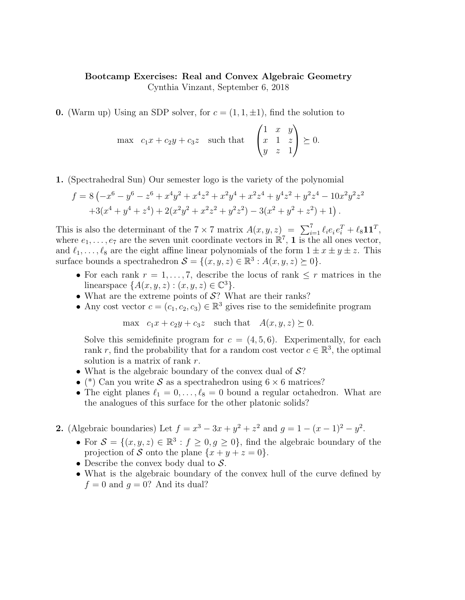## Bootcamp Exercises: Real and Convex Algebraic Geometry Cynthia Vinzant, September 6, 2018

**0.** (Warm up) Using an SDP solver, for  $c = (1, 1, \pm 1)$ , find the solution to

$$
\max \ c_1 x + c_2 y + c_3 z \quad \text{such that} \quad \begin{pmatrix} 1 & x & y \\ x & 1 & z \\ y & z & 1 \end{pmatrix} \succeq 0.
$$

1. (Spectrahedral Sun) Our semester logo is the variety of the polynomial

$$
f = 8\left(-x^6 - y^6 - z^6 + x^4y^2 + x^4z^2 + x^2y^4 + x^2z^4 + y^4z^2 + y^2z^4 - 10x^2y^2z^2 + 3(x^4 + y^4 + z^4) + 2(x^2y^2 + x^2z^2 + y^2z^2) - 3(x^2 + y^2 + z^2) + 1\right).
$$

This is also the determinant of the  $7 \times 7$  matrix  $A(x, y, z) = \sum_{i=1}^{7} \ell_i e_i e_i^T + \ell_8 \mathbf{1} \mathbf{1}^T$ , where  $e_1, \ldots, e_7$  are the seven unit coordinate vectors in  $\mathbb{R}^7$ , **1** is the all ones vector, and  $\ell_1, \ldots, \ell_8$  are the eight affine linear polynomials of the form  $1 \pm x \pm y \pm z$ . This surface bounds a spectrahedron  $S = \{(x, y, z) \in \mathbb{R}^3 : A(x, y, z) \succeq 0\}.$ 

- For each rank  $r = 1, \ldots, 7$ , describe the locus of rank  $\leq r$  matrices in the linear space  $\{A(x, y, z) : (x, y, z) \in \mathbb{C}^3\}.$
- What are the extreme points of  $S$ ? What are their ranks?
- Any cost vector  $c = (c_1, c_2, c_3) \in \mathbb{R}^3$  gives rise to the semidefinite program

max  $c_1x + c_2y + c_3z$  such that  $A(x, y, z) \succeq 0$ .

Solve this semidefinite program for  $c = (4, 5, 6)$ . Experimentally, for each rank r, find the probability that for a random cost vector  $c \in \mathbb{R}^3$ , the optimal solution is a matrix of rank r.

- What is the algebraic boundary of the convex dual of  $\mathcal{S}$ ?
- (\*) Can you write S as a spectrahedron using  $6 \times 6$  matrices?
- The eight planes  $\ell_1 = 0, \ldots, \ell_8 = 0$  bound a regular octahedron. What are the analogues of this surface for the other platonic solids?
- **2.** (Algebraic boundaries) Let  $f = x^3 3x + y^2 + z^2$  and  $g = 1 (x 1)^2 y^2$ .
	- For  $S = \{(x, y, z) \in \mathbb{R}^3 : f \geq 0, g \geq 0\}$ , find the algebraic boundary of the projection of S onto the plane  $\{x+y+z=0\}.$
	- Describe the convex body dual to  $S$ .
	- What is the algebraic boundary of the convex hull of the curve defined by  $f = 0$  and  $g = 0$ ? And its dual?